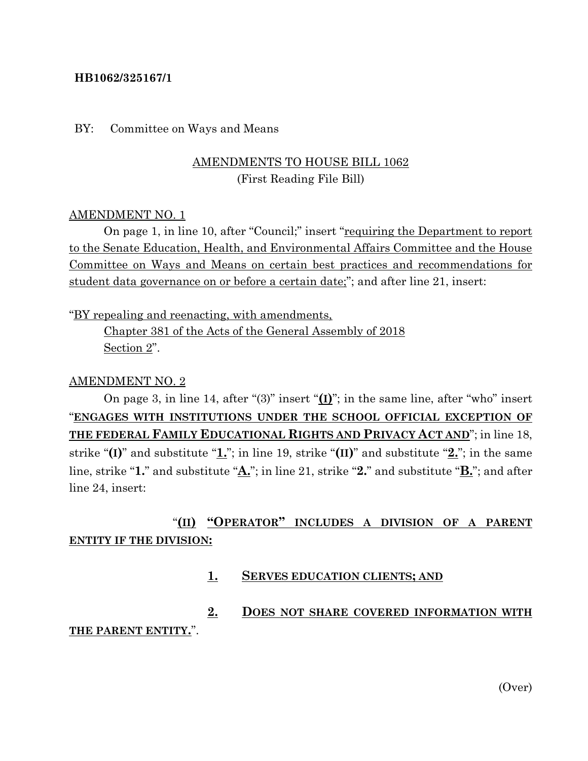### **HB1062/325167/1**

#### BY: Committee on Ways and Means

## AMENDMENTS TO HOUSE BILL 1062 (First Reading File Bill)

### AMENDMENT NO. 1

On page 1, in line 10, after "Council;" insert "requiring the Department to report to the Senate Education, Health, and Environmental Affairs Committee and the House Committee on Ways and Means on certain best practices and recommendations for student data governance on or before a certain date;"; and after line 21, insert:

"BY repealing and reenacting, with amendments, Chapter 381 of the Acts of the General Assembly of 2018 Section 2".

### AMENDMENT NO. 2

On page 3, in line 14, after "(3)" insert "**(I)**"; in the same line, after "who" insert "**ENGAGES WITH INSTITUTIONS UNDER THE SCHOOL OFFICIAL EXCEPTION OF THE FEDERAL FAMILY EDUCATIONAL RIGHTS AND PRIVACY ACT AND**"; in line 18, strike "**(I)**" and substitute "**1.**"; in line 19, strike "**(II)**" and substitute "**2.**"; in the same line, strike "**1.**" and substitute "**A.**"; in line 21, strike "**2.**" and substitute "**B.**"; and after line 24, insert:

## "**(II) "OPERATOR" INCLUDES A DIVISION OF A PARENT ENTITY IF THE DIVISION:**

**1. SERVES EDUCATION CLIENTS; AND**

# **2. DOES NOT SHARE COVERED INFORMATION WITH**

### **THE PARENT ENTITY.**".

(Over)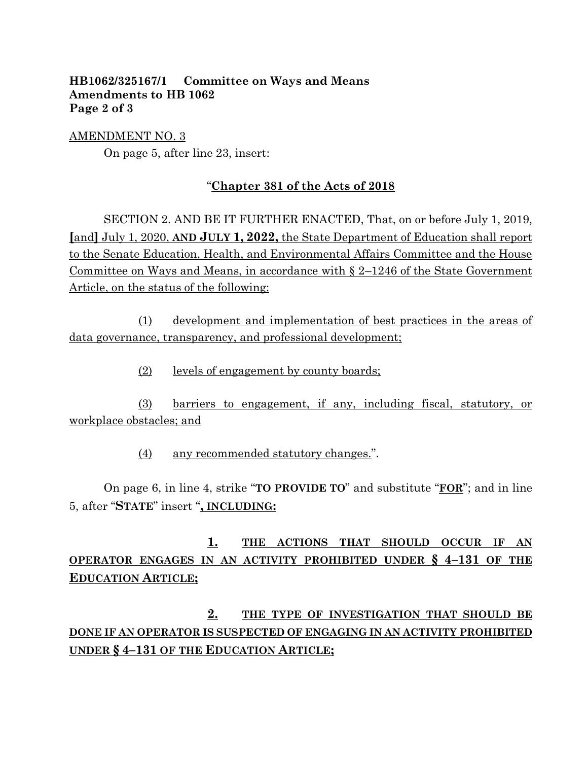### **HB1062/325167/1 Committee on Ways and Means Amendments to HB 1062 Page 2 of 3**

AMENDMENT NO. 3 On page 5, after line 23, insert:

## "**Chapter 381 of the Acts of 2018**

SECTION 2. AND BE IT FURTHER ENACTED, That, on or before July 1, 2019, **[**and**]** July 1, 2020, **AND JULY 1, 2022,** the State Department of Education shall report to the Senate Education, Health, and Environmental Affairs Committee and the House Committee on Ways and Means, in accordance with § 2–1246 of the State Government Article, on the status of the following:

(1) development and implementation of best practices in the areas of data governance, transparency, and professional development;

(2) levels of engagement by county boards;

(3) barriers to engagement, if any, including fiscal, statutory, or workplace obstacles; and

(4) any recommended statutory changes.".

On page 6, in line 4, strike "**TO PROVIDE TO**" and substitute "**FOR**"; and in line 5, after "**STATE**" insert "**, INCLUDING:**

# **1. THE ACTIONS THAT SHOULD OCCUR IF AN OPERATOR ENGAGES IN AN ACTIVITY PROHIBITED UNDER § 4–131 OF THE EDUCATION ARTICLE;**

**2. THE TYPE OF INVESTIGATION THAT SHOULD BE DONE IF AN OPERATOR IS SUSPECTED OF ENGAGING IN AN ACTIVITY PROHIBITED UNDER § 4–131 OF THE EDUCATION ARTICLE;**